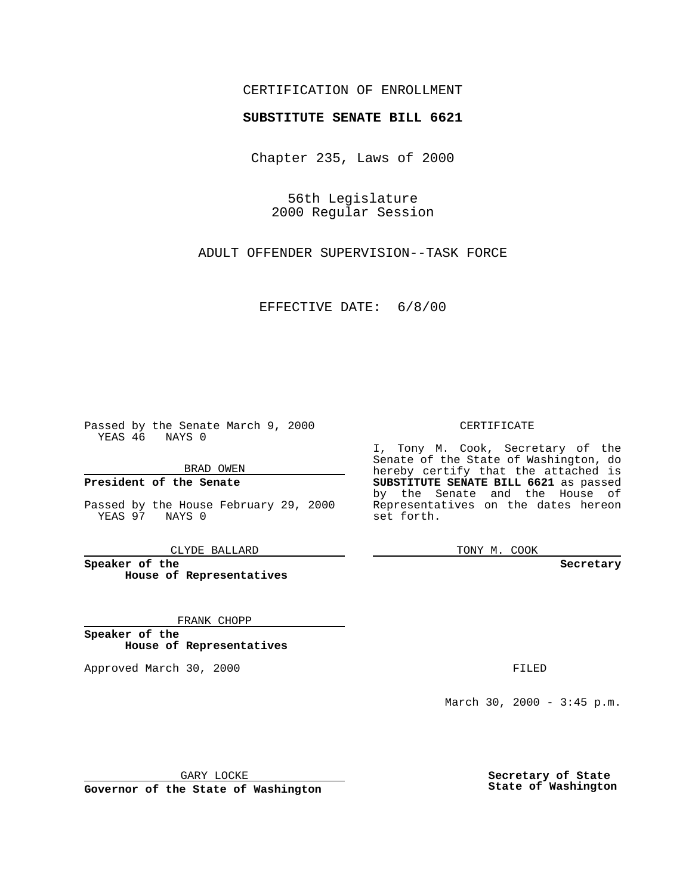### CERTIFICATION OF ENROLLMENT

# **SUBSTITUTE SENATE BILL 6621**

Chapter 235, Laws of 2000

56th Legislature 2000 Regular Session

ADULT OFFENDER SUPERVISION--TASK FORCE

EFFECTIVE DATE: 6/8/00

Passed by the Senate March 9, 2000 YEAS 46 NAYS 0

BRAD OWEN

**President of the Senate**

Passed by the House February 29, 2000 YEAS 97 NAYS 0

CLYDE BALLARD

**Speaker of the House of Representatives**

FRANK CHOPP

**Speaker of the House of Representatives**

Approved March 30, 2000 FILED

#### CERTIFICATE

I, Tony M. Cook, Secretary of the Senate of the State of Washington, do hereby certify that the attached is **SUBSTITUTE SENATE BILL 6621** as passed by the Senate and the House of Representatives on the dates hereon set forth.

TONY M. COOK

**Secretary**

March 30, 2000 - 3:45 p.m.

GARY LOCKE

**Governor of the State of Washington**

**Secretary of State State of Washington**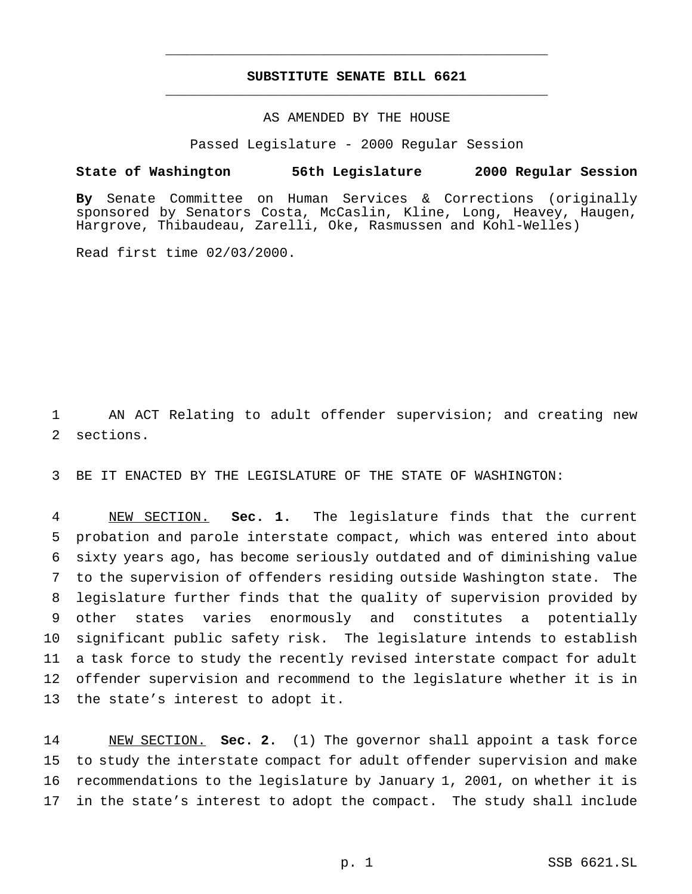## **SUBSTITUTE SENATE BILL 6621** \_\_\_\_\_\_\_\_\_\_\_\_\_\_\_\_\_\_\_\_\_\_\_\_\_\_\_\_\_\_\_\_\_\_\_\_\_\_\_\_\_\_\_\_\_\_\_

\_\_\_\_\_\_\_\_\_\_\_\_\_\_\_\_\_\_\_\_\_\_\_\_\_\_\_\_\_\_\_\_\_\_\_\_\_\_\_\_\_\_\_\_\_\_\_

### AS AMENDED BY THE HOUSE

Passed Legislature - 2000 Regular Session

#### **State of Washington 56th Legislature 2000 Regular Session**

**By** Senate Committee on Human Services & Corrections (originally sponsored by Senators Costa, McCaslin, Kline, Long, Heavey, Haugen, Hargrove, Thibaudeau, Zarelli, Oke, Rasmussen and Kohl-Welles)

Read first time 02/03/2000.

 AN ACT Relating to adult offender supervision; and creating new sections.

BE IT ENACTED BY THE LEGISLATURE OF THE STATE OF WASHINGTON:

 NEW SECTION. **Sec. 1.** The legislature finds that the current probation and parole interstate compact, which was entered into about sixty years ago, has become seriously outdated and of diminishing value to the supervision of offenders residing outside Washington state. The legislature further finds that the quality of supervision provided by other states varies enormously and constitutes a potentially significant public safety risk. The legislature intends to establish a task force to study the recently revised interstate compact for adult offender supervision and recommend to the legislature whether it is in the state's interest to adopt it.

 NEW SECTION. **Sec. 2.** (1) The governor shall appoint a task force to study the interstate compact for adult offender supervision and make recommendations to the legislature by January 1, 2001, on whether it is in the state's interest to adopt the compact. The study shall include